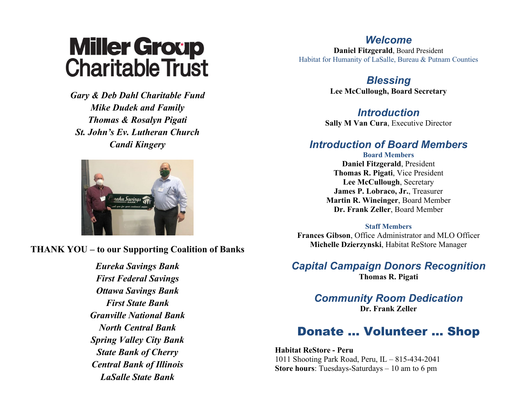# **Miller Group<br>Charitable Trust**

*Gary & Deb Dahl Charitable Fund Mike Dudek and Family Thomas & Rosalyn Pigati St. John's Ev. Lutheran Church Candi Kingery*



**THANK YOU – to our Supporting Coalition of Banks**

*Eureka Savings Bank First Federal Savings Ottawa Savings Bank First State Bank Granville National Bank North Central Bank Spring Valley City Bank State Bank of Cherry Central Bank of Illinois LaSalle State Bank*

#### *Welcome*

**Daniel Fitzgerald**, Board President Habitat for Humanity of LaSalle, Bureau & Putnam Counties

> *Blessing* **Lee McCullough, Board Secretary**

### *Introduction*

**Sally M Van Cura**, Executive Director

### *Introduction of Board Members*

**Board Members Daniel Fitzgerald**, President **Thomas R. Pigati**, Vice President **Lee McCullough**, Secretary **James P. Lobraco, Jr.**, Treasurer **Martin R. Wineinger**, Board Member **Dr. Frank Zeller**, Board Member

#### **Staff Members**

**Frances Gibson**, Office Administrator and MLO Officer **Michelle Dzierzynski**, Habitat ReStore Manager

*Capital Campaign Donors Recognition* **Thomas R. Pigati**

> *Community Room Dedication* **Dr. Frank Zeller**

## Donate … Volunteer … Shop

**Habitat ReStore - Peru** 1011 Shooting Park Road, Peru, IL – 815-434-2041 **Store hours**: Tuesdays-Saturdays – 10 am to 6 pm